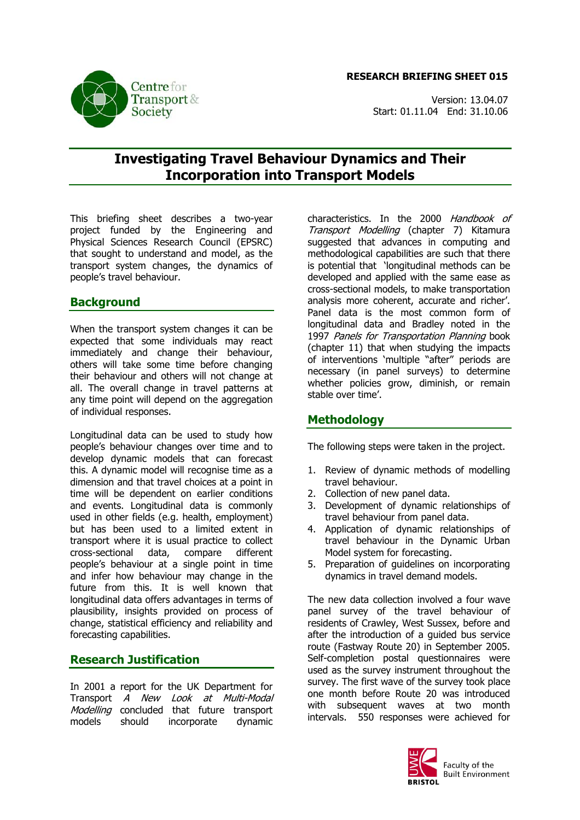#### **RESEARCH BRIEFING SHEET 015**





# **Investigating Travel Behaviour Dynamics and Their Incorporation into Transport Models**

This briefing sheet describes a two-year project funded by the Engineering and Physical Sciences Research Council (EPSRC) that sought to understand and model, as the transport system changes, the dynamics of people's travel behaviour.

## **Background**

When the transport system changes it can be expected that some individuals may react immediately and change their behaviour, others will take some time before changing their behaviour and others will not change at all. The overall change in travel patterns at any time point will depend on the aggregation of individual responses.

Longitudinal data can be used to study how people's behaviour changes over time and to develop dynamic models that can forecast this. A dynamic model will recognise time as a dimension and that travel choices at a point in time will be dependent on earlier conditions and events. Longitudinal data is commonly used in other fields (e.g. health, employment) but has been used to a limited extent in transport where it is usual practice to collect cross-sectional data, compare different people's behaviour at a single point in time and infer how behaviour may change in the future from this. It is well known that longitudinal data offers advantages in terms of plausibility, insights provided on process of change, statistical efficiency and reliability and forecasting capabilities.

## **Research Justification**

In 2001 a report for the UK Department for Transport A New Look at Multi-Modal Modelling concluded that future transport models should incorporate dynamic

characteristics. In the 2000 Handbook of Transport Modelling (chapter 7) Kitamura suggested that advances in computing and methodological capabilities are such that there is potential that 'longitudinal methods can be developed and applied with the same ease as cross-sectional models, to make transportation analysis more coherent, accurate and richer'. Panel data is the most common form of longitudinal data and Bradley noted in the 1997 Panels for Transportation Planning book (chapter 11) that when studying the impacts of interventions 'multiple "after" periods are necessary (in panel surveys) to determine whether policies grow, diminish, or remain stable over time'.

## **Methodology**

The following steps were taken in the project.

- 1. Review of dynamic methods of modelling travel behaviour.
- 2. Collection of new panel data.
- 3. Development of dynamic relationships of travel behaviour from panel data.
- 4. Application of dynamic relationships of travel behaviour in the Dynamic Urban Model system for forecasting.
- 5. Preparation of guidelines on incorporating dynamics in travel demand models.

The new data collection involved a four wave panel survey of the travel behaviour of residents of Crawley, West Sussex, before and after the introduction of a guided bus service route (Fastway Route 20) in September 2005. Self-completion postal questionnaires were used as the survey instrument throughout the survey. The first wave of the survey took place one month before Route 20 was introduced with subsequent waves at two month intervals. 550 responses were achieved for